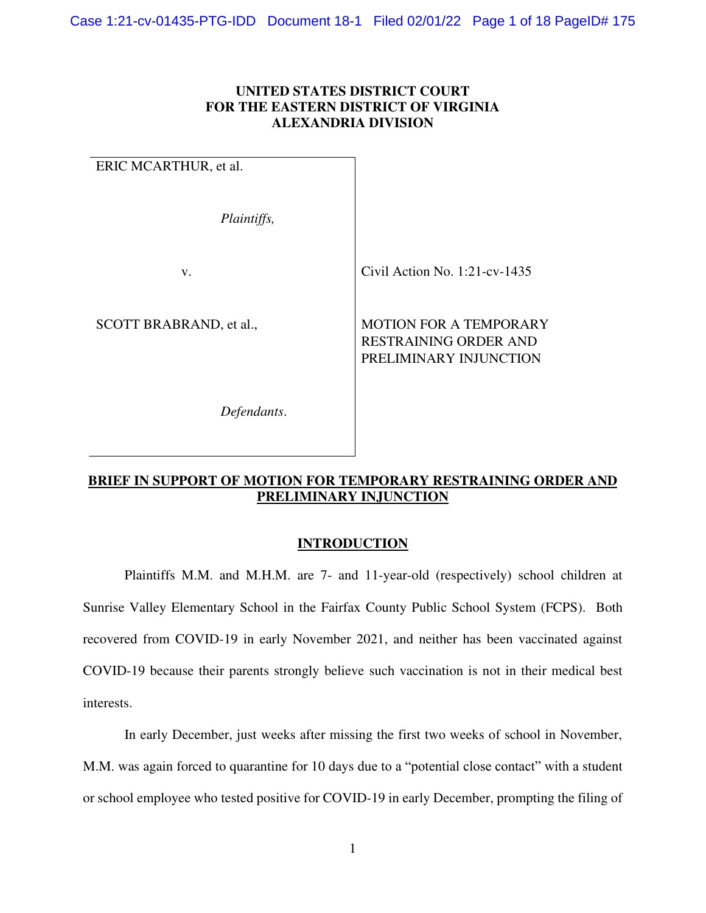## **UNITED STATES DISTRICT COURT FOR THE EASTERN DISTRICT OF VIRGINIA ALEXANDRIA DIVISION**

| ERIC MCARTHUR, et al.   |                                                                                         |
|-------------------------|-----------------------------------------------------------------------------------------|
| Plaintiffs,             |                                                                                         |
| V.                      | Civil Action No. $1:21$ -cv-1435                                                        |
| SCOTT BRABRAND, et al., | <b>MOTION FOR A TEMPORARY</b><br><b>RESTRAINING ORDER AND</b><br>PRELIMINARY INJUNCTION |

*Defendants*.

# **BRIEF IN SUPPORT OF MOTION FOR TEMPORARY RESTRAINING ORDER AND PRELIMINARY INJUNCTION**

# **INTRODUCTION**

Plaintiffs M.M. and M.H.M. are 7- and 11-year-old (respectively) school children at Sunrise Valley Elementary School in the Fairfax County Public School System (FCPS). Both recovered from COVID-19 in early November 2021, and neither has been vaccinated against COVID-19 because their parents strongly believe such vaccination is not in their medical best interests.

In early December, just weeks after missing the first two weeks of school in November, M.M. was again forced to quarantine for 10 days due to a "potential close contact" with a student or school employee who tested positive for COVID-19 in early December, prompting the filing of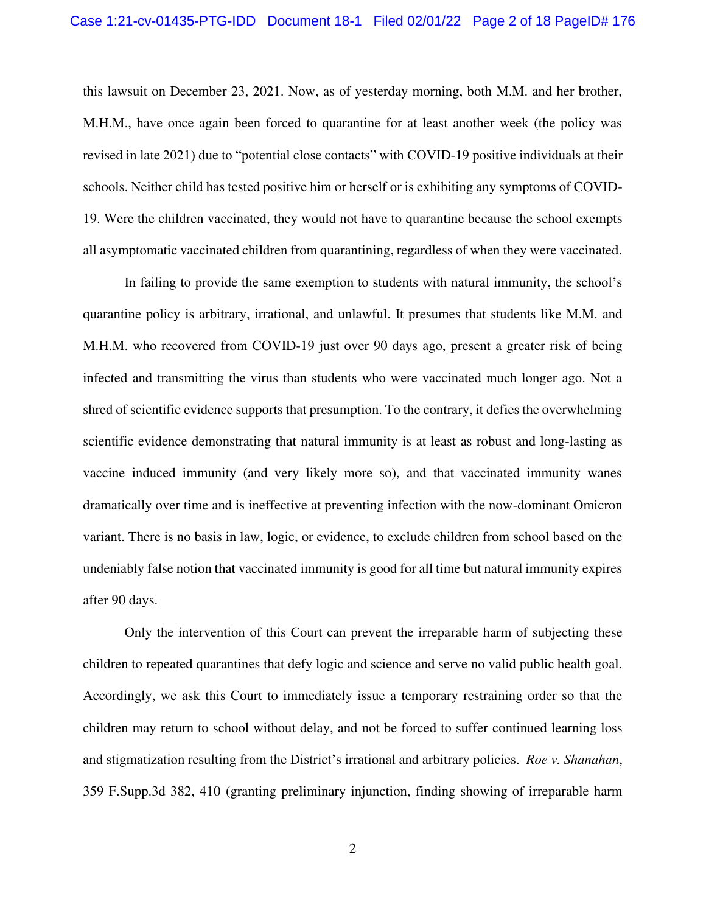this lawsuit on December 23, 2021. Now, as of yesterday morning, both M.M. and her brother, M.H.M., have once again been forced to quarantine for at least another week (the policy was revised in late 2021) due to "potential close contacts" with COVID-19 positive individuals at their schools. Neither child has tested positive him or herself or is exhibiting any symptoms of COVID-19. Were the children vaccinated, they would not have to quarantine because the school exempts all asymptomatic vaccinated children from quarantining, regardless of when they were vaccinated.

In failing to provide the same exemption to students with natural immunity, the school's quarantine policy is arbitrary, irrational, and unlawful. It presumes that students like M.M. and M.H.M. who recovered from COVID-19 just over 90 days ago, present a greater risk of being infected and transmitting the virus than students who were vaccinated much longer ago. Not a shred of scientific evidence supports that presumption. To the contrary, it defies the overwhelming scientific evidence demonstrating that natural immunity is at least as robust and long-lasting as vaccine induced immunity (and very likely more so), and that vaccinated immunity wanes dramatically over time and is ineffective at preventing infection with the now-dominant Omicron variant. There is no basis in law, logic, or evidence, to exclude children from school based on the undeniably false notion that vaccinated immunity is good for all time but natural immunity expires after 90 days.

Only the intervention of this Court can prevent the irreparable harm of subjecting these children to repeated quarantines that defy logic and science and serve no valid public health goal. Accordingly, we ask this Court to immediately issue a temporary restraining order so that the children may return to school without delay, and not be forced to suffer continued learning loss and stigmatization resulting from the District's irrational and arbitrary policies. *Roe v. Shanahan*, 359 F.Supp.3d 382, 410 (granting preliminary injunction, finding showing of irreparable harm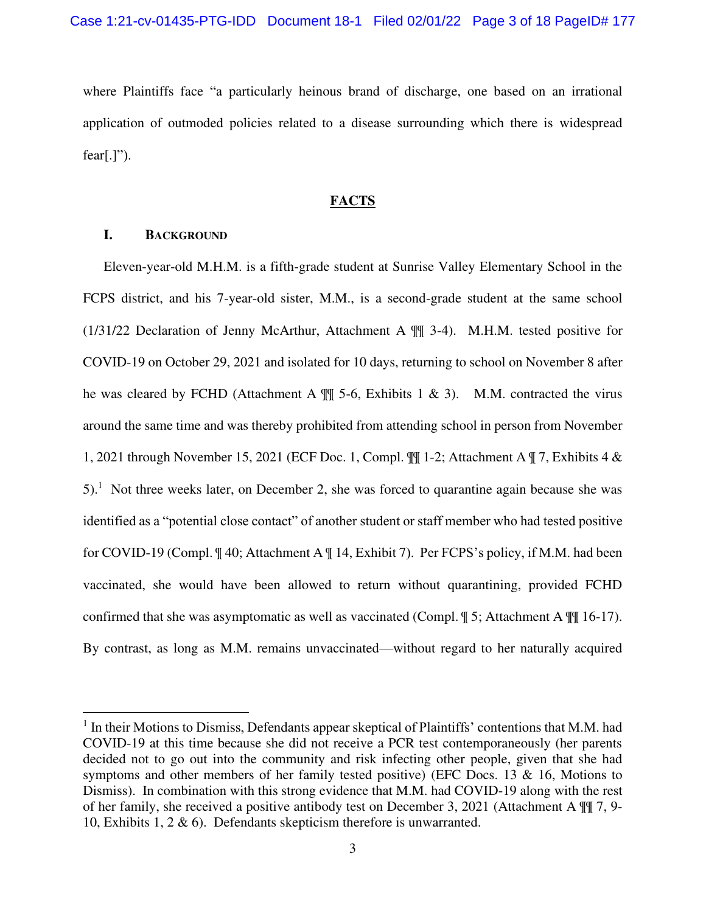where Plaintiffs face "a particularly heinous brand of discharge, one based on an irrational application of outmoded policies related to a disease surrounding which there is widespread  $fear[.]$ ").

#### **FACTS**

## **I. BACKGROUND**

Eleven-year-old M.H.M. is a fifth-grade student at Sunrise Valley Elementary School in the FCPS district, and his 7-year-old sister, M.M., is a second-grade student at the same school (1/31/22 Declaration of Jenny McArthur, Attachment A ¶¶ 3-4). M.H.M. tested positive for COVID-19 on October 29, 2021 and isolated for 10 days, returning to school on November 8 after he was cleared by FCHD (Attachment A  $\P$  5-6, Exhibits 1 & 3). M.M. contracted the virus around the same time and was thereby prohibited from attending school in person from November 1, 2021 through November 15, 2021 (ECF Doc. 1, Compl. ¶¶ 1-2; Attachment A ¶ 7, Exhibits 4 &  $5$ .<sup>1</sup> Not three weeks later, on December 2, she was forced to quarantine again because she was identified as a "potential close contact" of another student or staff member who had tested positive for COVID-19 (Compl. ¶ 40; Attachment A ¶ 14, Exhibit 7). Per FCPS's policy, if M.M. had been vaccinated, she would have been allowed to return without quarantining, provided FCHD confirmed that she was asymptomatic as well as vaccinated (Compl. ¶ 5; Attachment A ¶¶ 16-17). By contrast, as long as M.M. remains unvaccinated—without regard to her naturally acquired

<sup>&</sup>lt;sup>1</sup> In their Motions to Dismiss, Defendants appear skeptical of Plaintiffs' contentions that M.M. had COVID-19 at this time because she did not receive a PCR test contemporaneously (her parents decided not to go out into the community and risk infecting other people, given that she had symptoms and other members of her family tested positive) (EFC Docs. 13 & 16, Motions to Dismiss). In combination with this strong evidence that M.M. had COVID-19 along with the rest of her family, she received a positive antibody test on December 3, 2021 (Attachment A ¶¶ 7, 9- 10, Exhibits 1, 2 & 6). Defendants skepticism therefore is unwarranted.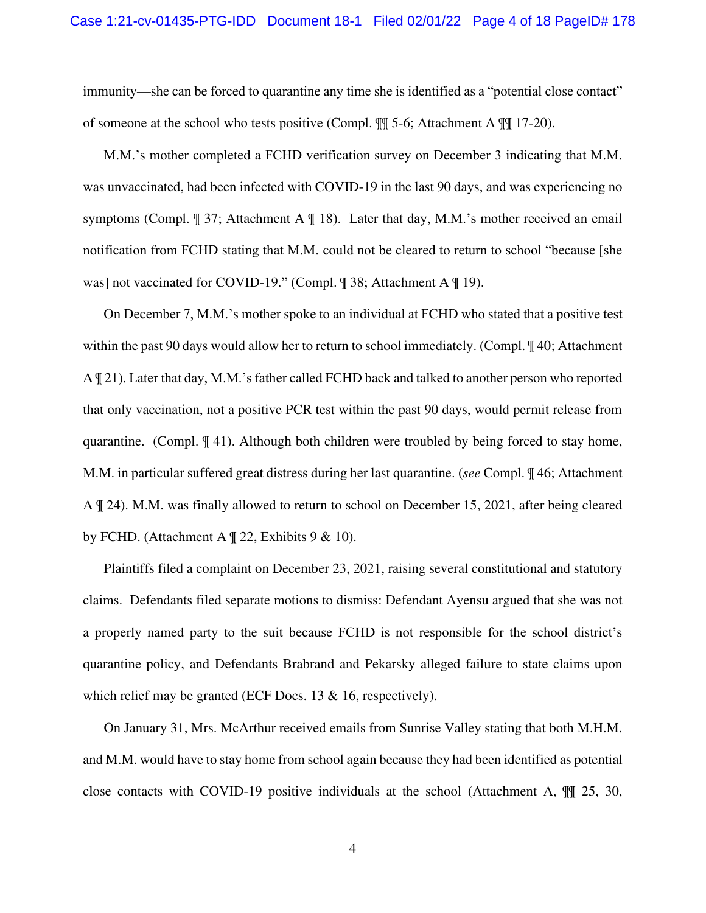immunity—she can be forced to quarantine any time she is identified as a "potential close contact" of someone at the school who tests positive (Compl. ¶¶ 5-6; Attachment A ¶¶ 17-20).

M.M.'s mother completed a FCHD verification survey on December 3 indicating that M.M. was unvaccinated, had been infected with COVID-19 in the last 90 days, and was experiencing no symptoms (Compl. ¶ 37; Attachment A ¶ 18). Later that day, M.M.'s mother received an email notification from FCHD stating that M.M. could not be cleared to return to school "because [she was] not vaccinated for COVID-19." (Compl. ¶ 38; Attachment A ¶ 19).

On December 7, M.M.'s mother spoke to an individual at FCHD who stated that a positive test within the past 90 days would allow her to return to school immediately. (Compl.  $\mathcal{J}$  40; Attachment A ¶ 21). Later that day, M.M.'s father called FCHD back and talked to another person who reported that only vaccination, not a positive PCR test within the past 90 days, would permit release from quarantine. (Compl. ¶ 41). Although both children were troubled by being forced to stay home, M.M. in particular suffered great distress during her last quarantine. (*see* Compl. ¶ 46; Attachment A ¶ 24). M.M. was finally allowed to return to school on December 15, 2021, after being cleared by FCHD. (Attachment A  $\mathbb{I}$  22, Exhibits 9 & 10).

Plaintiffs filed a complaint on December 23, 2021, raising several constitutional and statutory claims. Defendants filed separate motions to dismiss: Defendant Ayensu argued that she was not a properly named party to the suit because FCHD is not responsible for the school district's quarantine policy, and Defendants Brabrand and Pekarsky alleged failure to state claims upon which relief may be granted (ECF Docs. 13 & 16, respectively).

On January 31, Mrs. McArthur received emails from Sunrise Valley stating that both M.H.M. and M.M. would have to stay home from school again because they had been identified as potential close contacts with COVID-19 positive individuals at the school (Attachment A, ¶¶ 25, 30,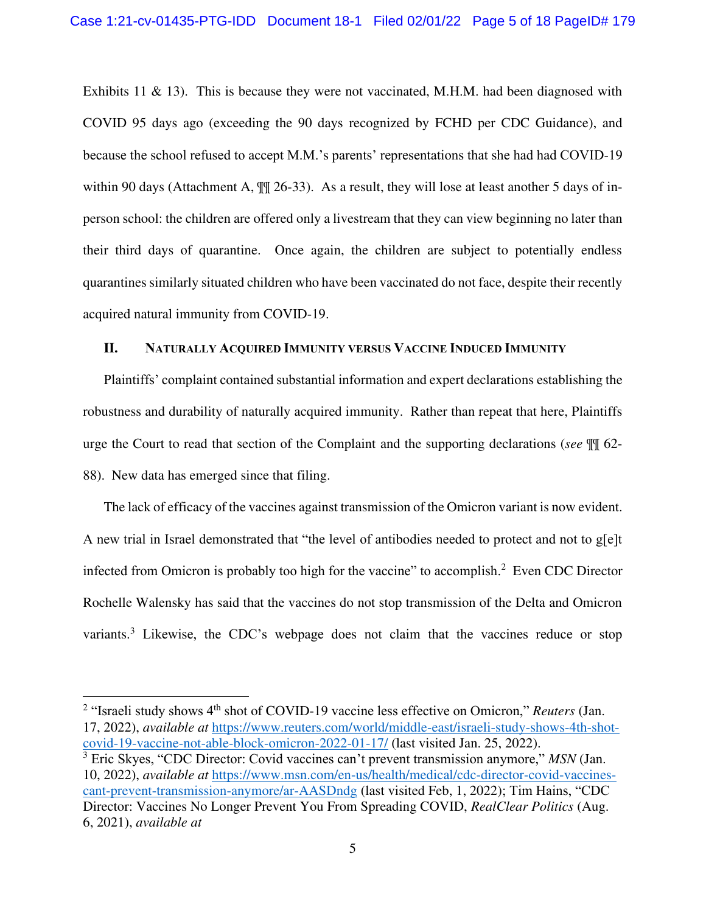Exhibits 11 & 13). This is because they were not vaccinated, M.H.M. had been diagnosed with COVID 95 days ago (exceeding the 90 days recognized by FCHD per CDC Guidance), and because the school refused to accept M.M.'s parents' representations that she had had COVID-19 within 90 days (Attachment A,  $\mathbb{I}$  26-33). As a result, they will lose at least another 5 days of inperson school: the children are offered only a livestream that they can view beginning no later than their third days of quarantine. Once again, the children are subject to potentially endless quarantines similarly situated children who have been vaccinated do not face, despite their recently acquired natural immunity from COVID-19.

#### **II. NATURALLY ACQUIRED IMMUNITY VERSUS VACCINE INDUCED IMMUNITY**

Plaintiffs' complaint contained substantial information and expert declarations establishing the robustness and durability of naturally acquired immunity. Rather than repeat that here, Plaintiffs urge the Court to read that section of the Complaint and the supporting declarations (*see* ¶¶ 62- 88). New data has emerged since that filing.

The lack of efficacy of the vaccines against transmission of the Omicron variant is now evident. A new trial in Israel demonstrated that "the level of antibodies needed to protect and not to g[e]t infected from Omicron is probably too high for the vaccine" to accomplish.<sup>2</sup> Even CDC Director Rochelle Walensky has said that the vaccines do not stop transmission of the Delta and Omicron variants.<sup>3</sup> Likewise, the CDC's webpage does not claim that the vaccines reduce or stop

<sup>&</sup>lt;sup>2</sup> "Israeli study shows 4<sup>th</sup> shot of COVID-19 vaccine less effective on Omicron," *Reuters* (Jan. 17, 2022), *available at* [https://www.reuters.com/world/middle-east/israeli-study-shows-4th-shot](about:blank)[covid-19-vaccine-not-able-block-omicron-2022-01-17/](about:blank) (last visited Jan. 25, 2022).

<sup>3</sup> Eric Skyes, "CDC Director: Covid vaccines can't prevent transmission anymore," *MSN* (Jan. 10, 2022), *available at* [https://www.msn.com/en-us/health/medical/cdc-director-covid-vaccines](https://www.msn.com/en-us/health/medical/cdc-director-covid-vaccines-cant-prevent-transmission-anymore/ar-AASDndg)[cant-prevent-transmission-anymore/ar-AASDndg](https://www.msn.com/en-us/health/medical/cdc-director-covid-vaccines-cant-prevent-transmission-anymore/ar-AASDndg) (last visited Feb, 1, 2022); Tim Hains, "CDC Director: Vaccines No Longer Prevent You From Spreading COVID, *RealClear Politics* (Aug. 6, 2021), *available at*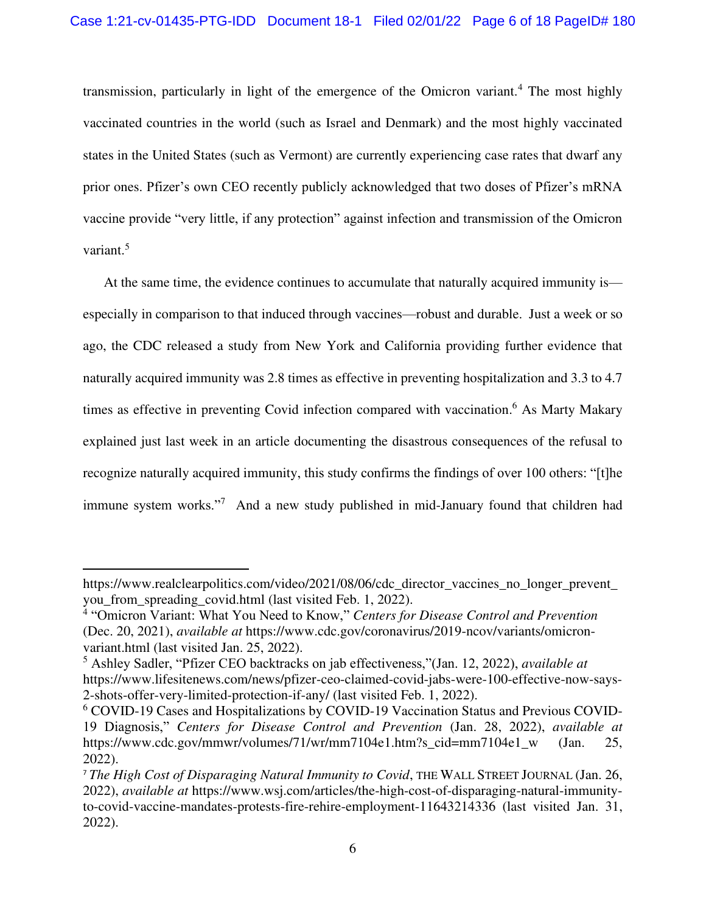transmission, particularly in light of the emergence of the Omicron variant.<sup>4</sup> The most highly vaccinated countries in the world (such as Israel and Denmark) and the most highly vaccinated states in the United States (such as Vermont) are currently experiencing case rates that dwarf any prior ones. Pfizer's own CEO recently publicly acknowledged that two doses of Pfizer's mRNA vaccine provide "very little, if any protection" against infection and transmission of the Omicron variant.<sup>5</sup>

At the same time, the evidence continues to accumulate that naturally acquired immunity is especially in comparison to that induced through vaccines—robust and durable. Just a week or so ago, the CDC released a study from New York and California providing further evidence that naturally acquired immunity was 2.8 times as effective in preventing hospitalization and 3.3 to 4.7 times as effective in preventing Covid infection compared with vaccination.<sup>6</sup> As Marty Makary explained just last week in an article documenting the disastrous consequences of the refusal to recognize naturally acquired immunity, this study confirms the findings of over 100 others: "[t]he immune system works."<sup>7</sup> And a new study published in mid-January found that children had

https://www.realclearpolitics.com/video/2021/08/06/cdc\_director\_vaccines\_no\_longer\_prevent\_ you\_from\_spreading\_covid.html (last visited Feb. 1, 2022).

<sup>4</sup> "Omicron Variant: What You Need to Know," *Centers for Disease Control and Prevention* (Dec. 20, 2021), *available at* https://www.cdc.gov/coronavirus/2019-ncov/variants/omicronvariant.html (last visited Jan. 25, 2022).

<sup>5</sup> Ashley Sadler, "Pfizer CEO backtracks on jab effectiveness,"(Jan. 12, 2022), *available at*  https://www.lifesitenews.com/news/pfizer-ceo-claimed-covid-jabs-were-100-effective-now-says-2-shots-offer-very-limited-protection-if-any/ (last visited Feb. 1, 2022).

<sup>6</sup> COVID-19 Cases and Hospitalizations by COVID-19 Vaccination Status and Previous COVID-19 Diagnosis," *Centers for Disease Control and Prevention* (Jan. 28, 2022), *available at*  https://www.cdc.gov/mmwr/volumes/71/wr/mm7104e1.htm?s\_cid=mm7104e1\_w (Jan. 25, 2022).

<sup>7</sup> *The High Cost of Disparaging Natural Immunity to Covid*, THE WALL STREET JOURNAL (Jan. 26, 2022), *available at* https://www.wsj.com/articles/the-high-cost-of-disparaging-natural-immunityto-covid-vaccine-mandates-protests-fire-rehire-employment-11643214336 (last visited Jan. 31, 2022).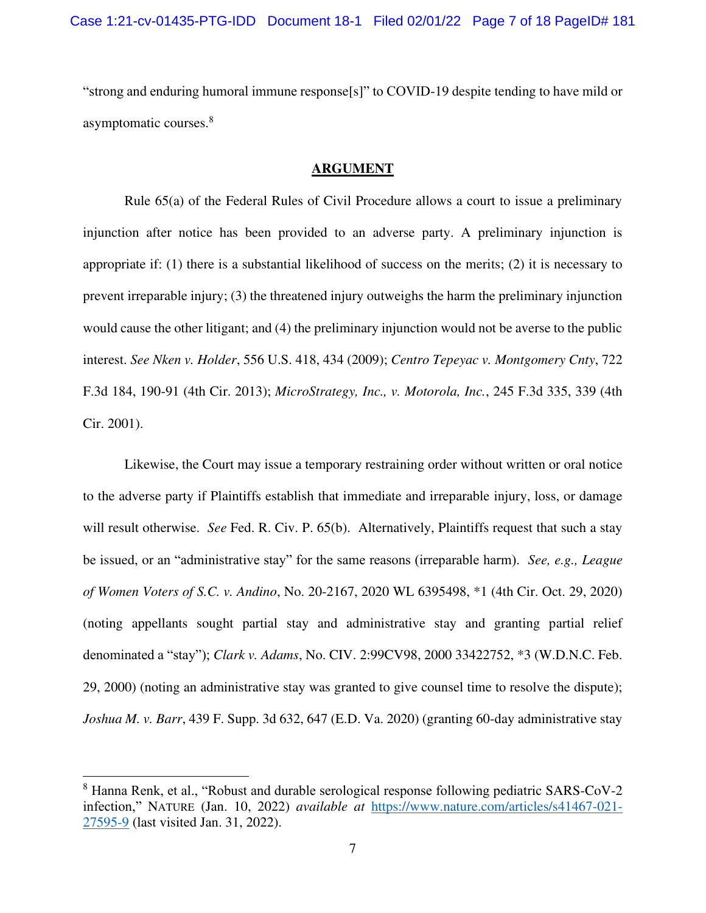"strong and enduring humoral immune response[s]" to COVID-19 despite tending to have mild or asymptomatic courses.<sup>8</sup>

#### **ARGUMENT**

Rule 65(a) of the Federal Rules of Civil Procedure allows a court to issue a preliminary injunction after notice has been provided to an adverse party. A preliminary injunction is appropriate if: (1) there is a substantial likelihood of success on the merits; (2) it is necessary to prevent irreparable injury; (3) the threatened injury outweighs the harm the preliminary injunction would cause the other litigant; and (4) the preliminary injunction would not be averse to the public interest. *See Nken v. Holder*, 556 U.S. 418, 434 (2009); *Centro Tepeyac v. Montgomery Cnty*, 722 F.3d 184, 190-91 (4th Cir. 2013); *MicroStrategy, Inc., v. Motorola, Inc.*, 245 F.3d 335, 339 (4th Cir. 2001).

Likewise, the Court may issue a temporary restraining order without written or oral notice to the adverse party if Plaintiffs establish that immediate and irreparable injury, loss, or damage will result otherwise. *See* Fed. R. Civ. P. 65(b). Alternatively, Plaintiffs request that such a stay be issued, or an "administrative stay" for the same reasons (irreparable harm). *See, e.g., League of Women Voters of S.C. v. Andino*, No. 20-2167, 2020 WL 6395498, \*1 (4th Cir. Oct. 29, 2020) (noting appellants sought partial stay and administrative stay and granting partial relief denominated a "stay"); *Clark v. Adams*, No. CIV. 2:99CV98, 2000 33422752, \*3 (W.D.N.C. Feb. 29, 2000) (noting an administrative stay was granted to give counsel time to resolve the dispute); *Joshua M. v. Barr*, 439 F. Supp. 3d 632, 647 (E.D. Va. 2020) (granting 60-day administrative stay

<sup>8</sup> Hanna Renk, et al., "Robust and durable serological response following pediatric SARS-CoV-2 infection," NATURE (Jan. 10, 2022) *available at* [https://www.nature.com/articles/s41467-021-](about:blank) [27595-9](about:blank) (last visited Jan. 31, 2022).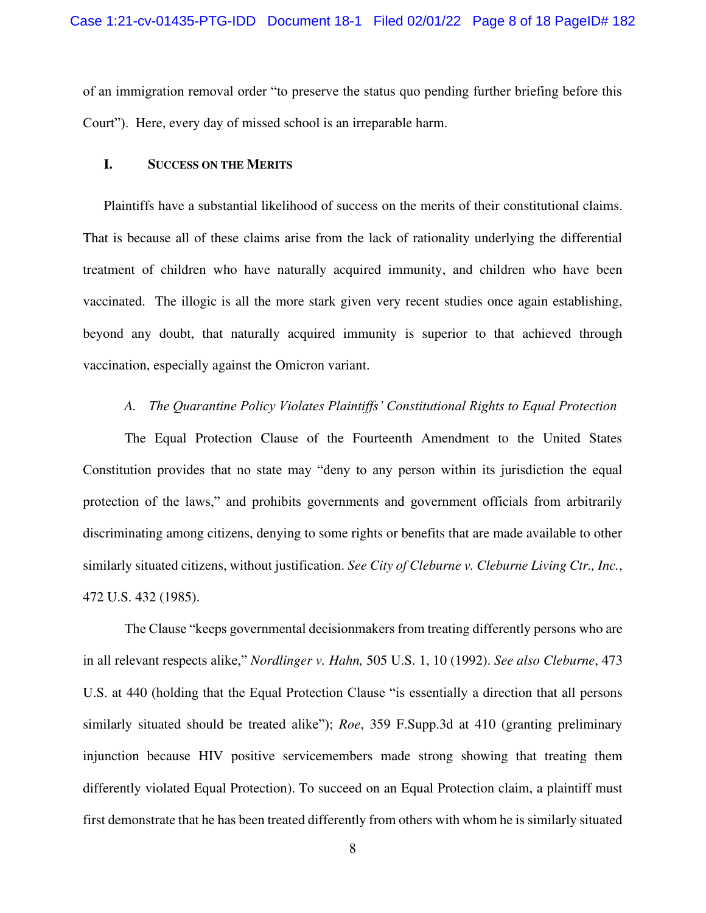of an immigration removal order "to preserve the status quo pending further briefing before this Court"). Here, every day of missed school is an irreparable harm.

#### **I. SUCCESS ON THE MERITS**

Plaintiffs have a substantial likelihood of success on the merits of their constitutional claims. That is because all of these claims arise from the lack of rationality underlying the differential treatment of children who have naturally acquired immunity, and children who have been vaccinated. The illogic is all the more stark given very recent studies once again establishing, beyond any doubt, that naturally acquired immunity is superior to that achieved through vaccination, especially against the Omicron variant.

### *A. The Quarantine Policy Violates Plaintiffs' Constitutional Rights to Equal Protection*

The Equal Protection Clause of the Fourteenth Amendment to the United States Constitution provides that no state may "deny to any person within its jurisdiction the equal protection of the laws," and prohibits governments and government officials from arbitrarily discriminating among citizens, denying to some rights or benefits that are made available to other similarly situated citizens, without justification. *See City of Cleburne v. Cleburne Living Ctr., Inc.*, 472 U.S. 432 (1985).

The Clause "keeps governmental decisionmakers from treating differently persons who are in all relevant respects alike," *Nordlinger v. Hahn,* 505 U.S. 1, 10 (1992). *See also Cleburne*, 473 U.S. at 440 (holding that the Equal Protection Clause "is essentially a direction that all persons similarly situated should be treated alike"); *Roe*, 359 F.Supp.3d at 410 (granting preliminary injunction because HIV positive servicemembers made strong showing that treating them differently violated Equal Protection). To succeed on an Equal Protection claim, a plaintiff must first demonstrate that he has been treated differently from others with whom he is similarly situated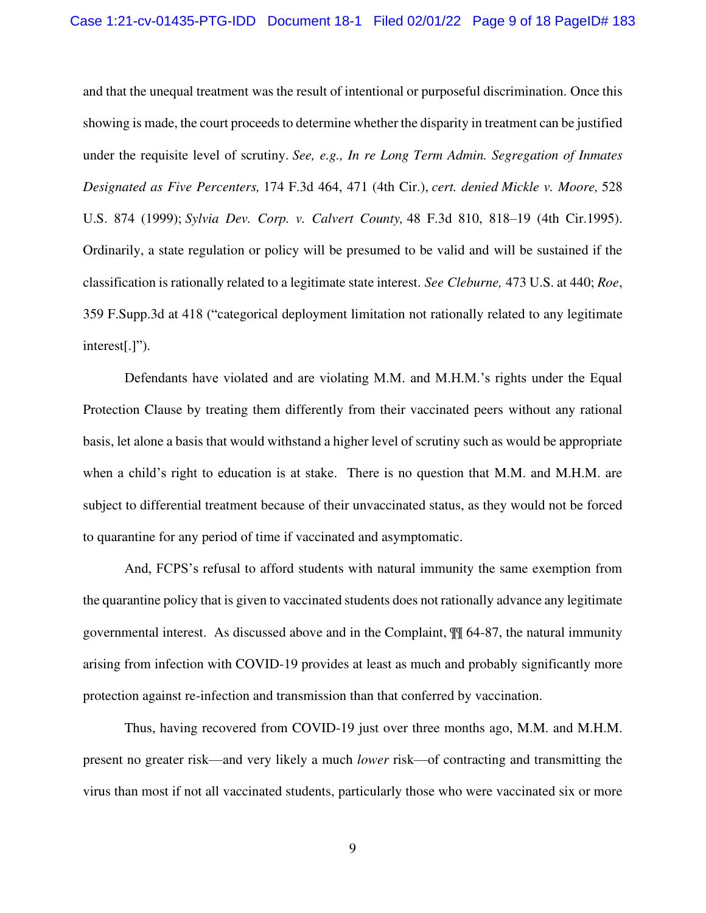and that the unequal treatment was the result of intentional or purposeful discrimination. Once this showing is made, the court proceeds to determine whether the disparity in treatment can be justified under the requisite level of scrutiny. *See, e.g., In [re Long Term Admin. Segregation of Inmates](about:blank#co_pp_sp_506_471)  [Designated as Five Percenters,](about:blank#co_pp_sp_506_471)* 174 F.3d 464, 471 (4th Cir.), *cert. denied [Mickle v. Moore,](about:blank)* 528 [U.S. 874 \(1999\);](about:blank) *[Sylvia Dev. Corp. v. Calvert County,](about:blank#co_pp_sp_506_818)* 48 F.3d 810, 818–19 (4th Cir.1995). Ordinarily, a state regulation or policy will be presumed to be valid and will be sustained if the classification is rationally related to a legitimate state interest. *See Cleburne,* 473 U.S. at 440; *Roe*, 359 F.Supp.3d at 418 ("categorical deployment limitation not rationally related to any legitimate interest[.]").

Defendants have violated and are violating M.M. and M.H.M.'s rights under the Equal Protection Clause by treating them differently from their vaccinated peers without any rational basis, let alone a basis that would withstand a higher level of scrutiny such as would be appropriate when a child's right to education is at stake. There is no question that M.M. and M.H.M. are subject to differential treatment because of their unvaccinated status, as they would not be forced to quarantine for any period of time if vaccinated and asymptomatic.

And, FCPS's refusal to afford students with natural immunity the same exemption from the quarantine policy that is given to vaccinated students does not rationally advance any legitimate governmental interest. As discussed above and in the Complaint, ¶¶ 64-87, the natural immunity arising from infection with COVID-19 provides at least as much and probably significantly more protection against re-infection and transmission than that conferred by vaccination.

Thus, having recovered from COVID-19 just over three months ago, M.M. and M.H.M. present no greater risk—and very likely a much *lower* risk—of contracting and transmitting the virus than most if not all vaccinated students, particularly those who were vaccinated six or more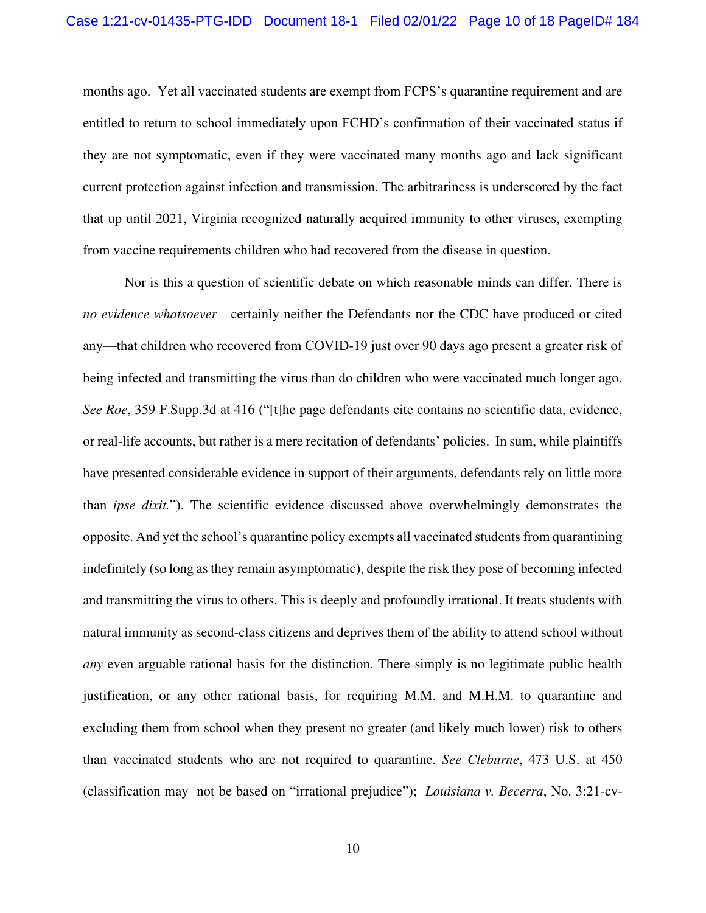months ago. Yet all vaccinated students are exempt from FCPS's quarantine requirement and are entitled to return to school immediately upon FCHD's confirmation of their vaccinated status if they are not symptomatic, even if they were vaccinated many months ago and lack significant current protection against infection and transmission. The arbitrariness is underscored by the fact that up until 2021, Virginia recognized naturally acquired immunity to other viruses, exempting from vaccine requirements children who had recovered from the disease in question.

Nor is this a question of scientific debate on which reasonable minds can differ. There is *no evidence whatsoever*—certainly neither the Defendants nor the CDC have produced or cited any—that children who recovered from COVID-19 just over 90 days ago present a greater risk of being infected and transmitting the virus than do children who were vaccinated much longer ago. *See Roe*, 359 F.Supp.3d at 416 ("[t]he page defendants cite contains no scientific data, evidence, or real-life accounts, but rather is a mere recitation of defendants' policies. In sum, while plaintiffs have presented considerable evidence in support of their arguments, defendants rely on little more than *ipse dixit.*"). The scientific evidence discussed above overwhelmingly demonstrates the opposite. And yet the school's quarantine policy exempts all vaccinated students from quarantining indefinitely (so long as they remain asymptomatic), despite the risk they pose of becoming infected and transmitting the virus to others. This is deeply and profoundly irrational. It treats students with natural immunity as second-class citizens and deprives them of the ability to attend school without *any* even arguable rational basis for the distinction. There simply is no legitimate public health justification, or any other rational basis, for requiring M.M. and M.H.M. to quarantine and excluding them from school when they present no greater (and likely much lower) risk to others than vaccinated students who are not required to quarantine. *See Cleburne*, 473 U.S. at 450 (classification may not be based on "irrational prejudice"); *Louisiana v. Becerra*, No. 3:21-cv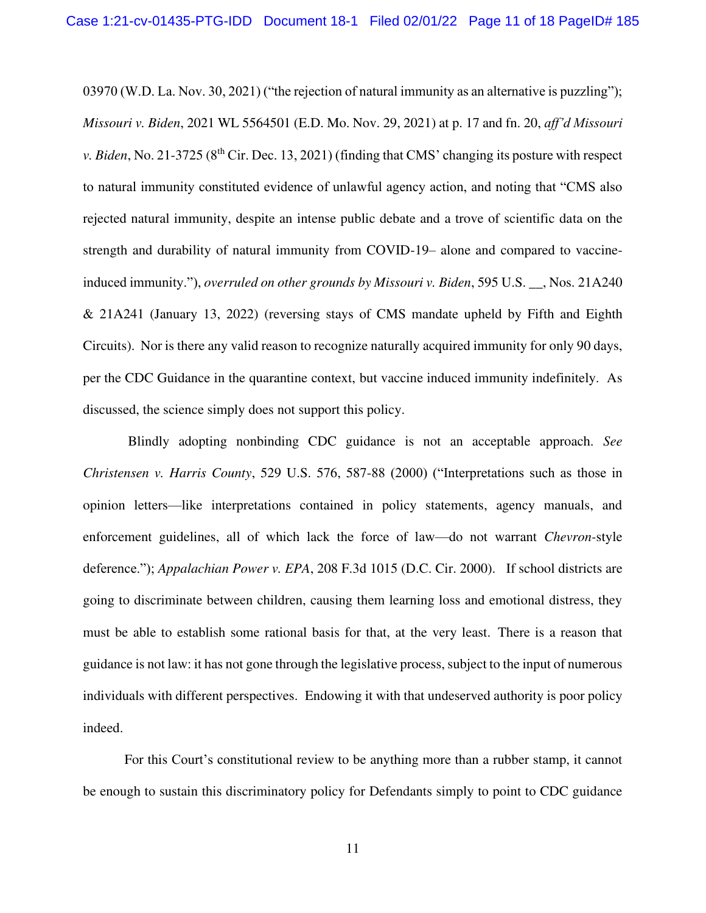03970 (W.D. La. Nov. 30, 2021) ("the rejection of natural immunity as an alternative is puzzling"); *Missouri v. Biden*, 2021 WL 5564501 (E.D. Mo. Nov. 29, 2021) at p. 17 and fn. 20, *aff'd Missouri v. Biden*, No. 21-3725 (8<sup>th</sup> Cir. Dec. 13, 2021) (finding that CMS' changing its posture with respect to natural immunity constituted evidence of unlawful agency action, and noting that "CMS also rejected natural immunity, despite an intense public debate and a trove of scientific data on the strength and durability of natural immunity from COVID-19– alone and compared to vaccineinduced immunity."), *overruled on other grounds by Missouri v. Biden*, 595 U.S. \_\_, Nos. 21A240 & 21A241 (January 13, 2022) (reversing stays of CMS mandate upheld by Fifth and Eighth Circuits). Nor is there any valid reason to recognize naturally acquired immunity for only 90 days, per the CDC Guidance in the quarantine context, but vaccine induced immunity indefinitely. As discussed, the science simply does not support this policy.

 Blindly adopting nonbinding CDC guidance is not an acceptable approach. *See Christensen v. Harris County*, 529 U.S. 576, 587-88 (2000) ("Interpretations such as those in opinion letters—like interpretations contained in policy statements, agency manuals, and enforcement guidelines, all of which lack the force of law—do not warrant *Chevron-*style deference."); *Appalachian Power v. EPA*, 208 F.3d 1015 (D.C. Cir. 2000). If school districts are going to discriminate between children, causing them learning loss and emotional distress, they must be able to establish some rational basis for that, at the very least. There is a reason that guidance is not law: it has not gone through the legislative process, subject to the input of numerous individuals with different perspectives. Endowing it with that undeserved authority is poor policy indeed.

For this Court's constitutional review to be anything more than a rubber stamp, it cannot be enough to sustain this discriminatory policy for Defendants simply to point to CDC guidance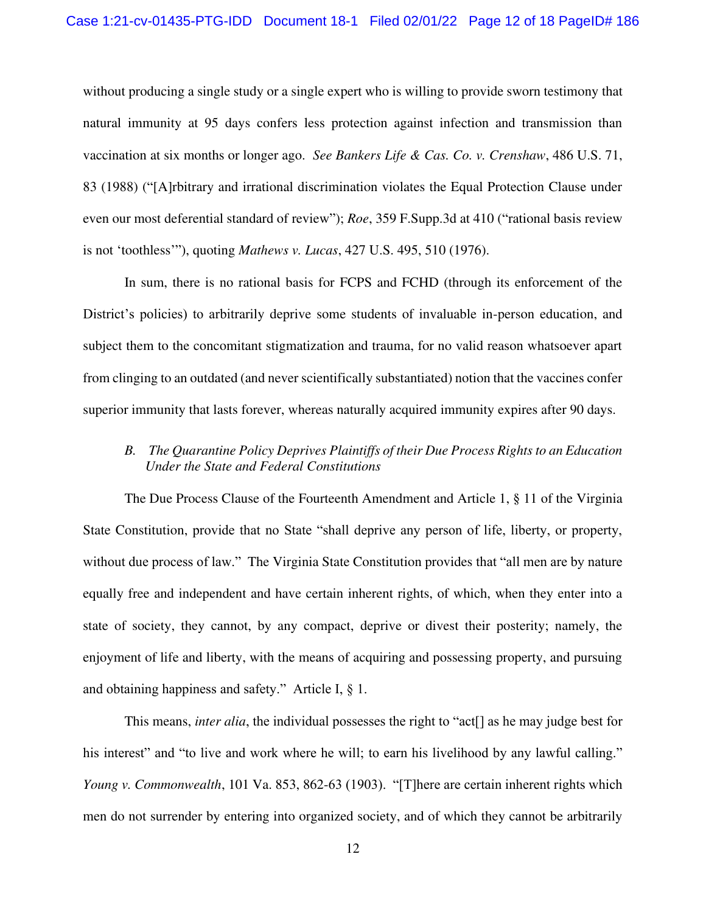without producing a single study or a single expert who is willing to provide sworn testimony that natural immunity at 95 days confers less protection against infection and transmission than vaccination at six months or longer ago. *See Bankers Life & Cas. Co. v. Crenshaw*, 486 U.S. 71, 83 (1988) ("[A]rbitrary and irrational discrimination violates the Equal Protection Clause under even our most deferential standard of review"); *Roe*, 359 F.Supp.3d at 410 ("rational basis review is not 'toothless'"), quoting *Mathews v. Lucas*, 427 U.S. 495, 510 (1976).

In sum, there is no rational basis for FCPS and FCHD (through its enforcement of the District's policies) to arbitrarily deprive some students of invaluable in-person education, and subject them to the concomitant stigmatization and trauma, for no valid reason whatsoever apart from clinging to an outdated (and never scientifically substantiated) notion that the vaccines confer superior immunity that lasts forever, whereas naturally acquired immunity expires after 90 days.

# *B. The Quarantine Policy Deprives Plaintiffs of their Due Process Rights to an Education Under the State and Federal Constitutions*

The Due Process Clause of the Fourteenth Amendment and Article 1, § 11 of the Virginia State Constitution, provide that no State "shall deprive any person of life, liberty, or property, without due process of law." The Virginia State Constitution provides that "all men are by nature equally free and independent and have certain inherent rights, of which, when they enter into a state of society, they cannot, by any compact, deprive or divest their posterity; namely, the enjoyment of life and liberty, with the means of acquiring and possessing property, and pursuing and obtaining happiness and safety." Article I, § 1.

This means, *inter alia*, the individual possesses the right to "act[] as he may judge best for his interest" and "to live and work where he will; to earn his livelihood by any lawful calling." *Young v. Commonwealth*, 101 Va. 853, 862-63 (1903). "[T]here are certain inherent rights which men do not surrender by entering into organized society, and of which they cannot be arbitrarily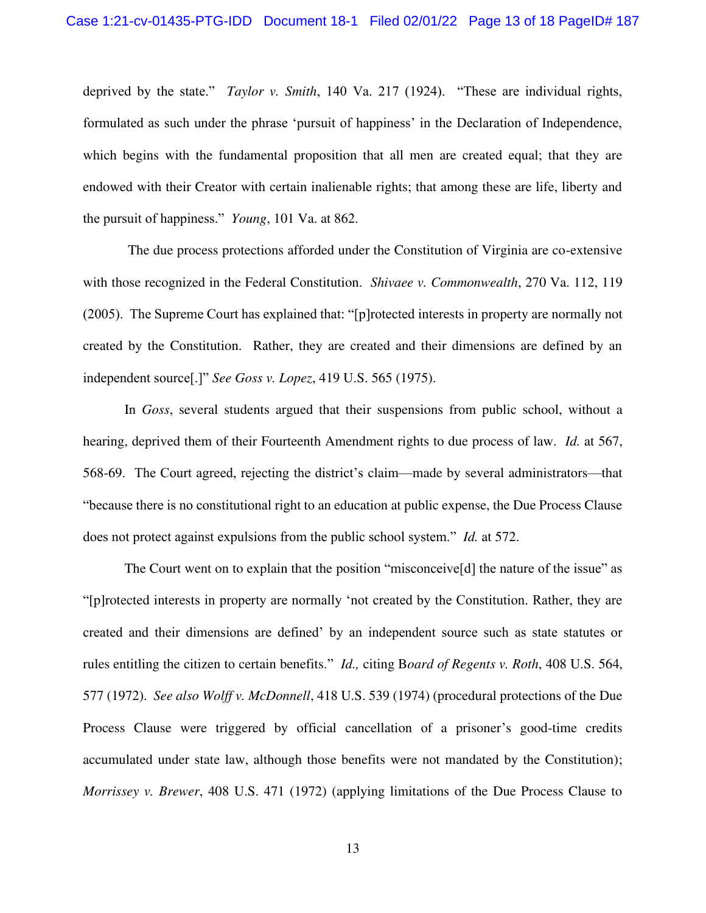deprived by the state." *Taylor v. Smith*, 140 Va. 217 (1924). "These are individual rights, formulated as such under the phrase 'pursuit of happiness' in the Declaration of Independence, which begins with the fundamental proposition that all men are created equal; that they are endowed with their Creator with certain inalienable rights; that among these are life, liberty and the pursuit of happiness." *Young*, 101 Va. at 862.

 The due process protections afforded under the Constitution of Virginia are co-extensive with those recognized in the Federal Constitution. *Shivaee v. Commonwealth*, 270 Va. 112, 119 (2005). The Supreme Court has explained that: "[p]rotected interests in property are normally not created by the Constitution. Rather, they are created and their dimensions are defined by an independent source[.]" *See Goss v. Lopez*, 419 U.S. 565 (1975).

In *Goss*, several students argued that their suspensions from public school, without a hearing, deprived them of their Fourteenth Amendment rights to due process of law. *Id.* at 567, 568-69. The Court agreed, rejecting the district's claim—made by several administrators—that "because there is no constitutional right to an education at public expense, the Due Process Clause does not protect against expulsions from the public school system." *Id.* at 572.

The Court went on to explain that the position "misconceive<sup>[d]</sup> the nature of the issue" as "[p]rotected interests in property are normally 'not created by the Constitution. Rather, they are created and their dimensions are defined' by an independent source such as state statutes or rules entitling the citizen to certain benefits." *Id.,* citing B*[oard of Regents v. Roth](about:blank#co_pp_sp_708_2709)*, 408 U.S. 564, [577 \(1972\).](about:blank#co_pp_sp_708_2709) *See also Wolff v. McDonnell*[, 418 U.S. 539 \(1974\)](about:blank) (procedural protections of the Due Process Clause were triggered by official cancellation of a prisoner's good-time credits accumulated under state law, although those benefits were not mandated by the Constitution); *Morrissey v. Brewer*[, 408 U.S. 471 \(1972\)](about:blank) (applying limitations of the Due Process Clause to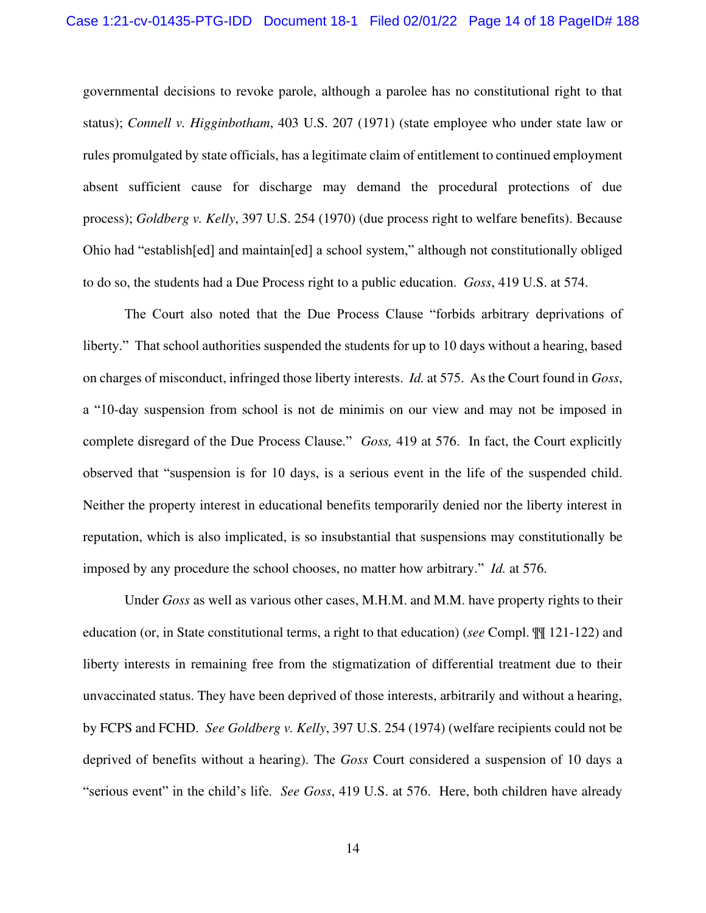governmental decisions to revoke parole, although a parolee has no constitutional right to that status); *[Connell v. Higginbotham](about:blank)*, 403 U.S. 207 (1971) (state employee who under state law or rules promulgated by state officials, has a legitimate claim of entitlement to continued employment absent sufficient cause for discharge may demand the procedural protections of due process); *Goldberg v. Kelly*[, 397 U.S. 254 \(1970\)](about:blank) (due process right to welfare benefits). Because Ohio had "establish[ed] and maintain[ed] a school system," although not constitutionally obliged to do so, the students had a Due Process right to a public education. *Goss*, 419 U.S. at 574.

The Court also noted that the Due Process Clause "forbids arbitrary deprivations of liberty." That school authorities suspended the students for up to 10 days without a hearing, based on charges of misconduct, infringed those liberty interests. *Id.* at 575. As the Court found in *Goss*, a "10-day suspension from school is not de minimis on our view and may not be imposed in complete disregard of the Due Process Clause." *Goss,* 419 at 576. In fact, the Court explicitly observed that "suspension is for 10 days, is a serious event in the life of the suspended child. Neither the property interest in educational benefits temporarily denied nor the liberty interest in reputation, which is also implicated, is so insubstantial that suspensions may constitutionally be imposed by any procedure the school chooses, no matter how arbitrary." *Id.* at 576.

Under *Goss* as well as various other cases, M.H.M. and M.M. have property rights to their education (or, in State constitutional terms, a right to that education) (*see* Compl. ¶¶ 121-122) and liberty interests in remaining free from the stigmatization of differential treatment due to their unvaccinated status. They have been deprived of those interests, arbitrarily and without a hearing, by FCPS and FCHD. *See Goldberg v. Kelly*, 397 U.S. 254 (1974) (welfare recipients could not be deprived of benefits without a hearing). The *Goss* Court considered a suspension of 10 days a "serious event" in the child's life. *See Goss*, 419 U.S. at 576. Here, both children have already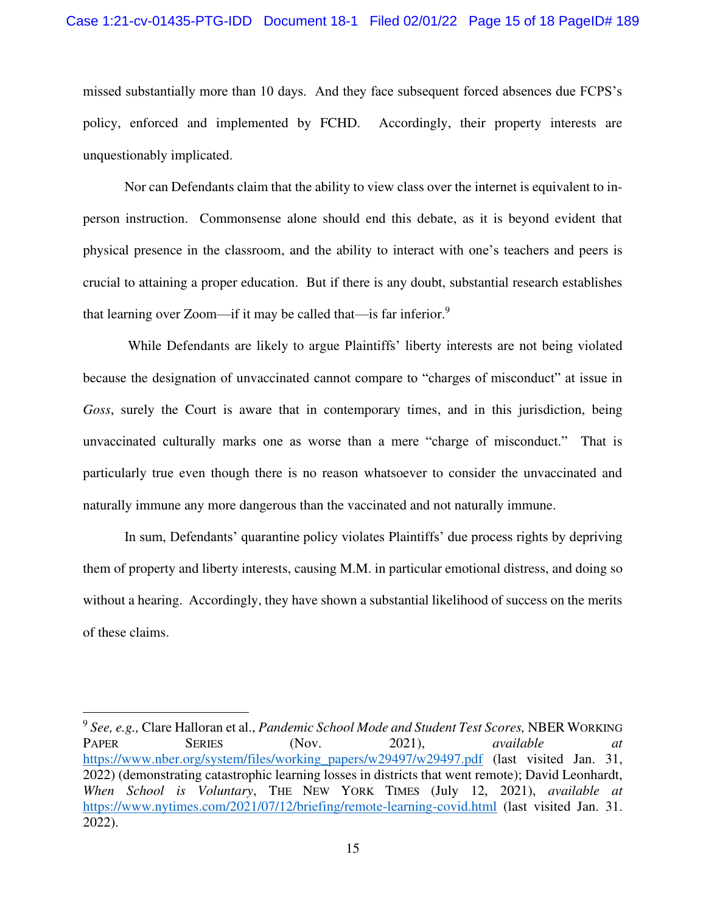missed substantially more than 10 days. And they face subsequent forced absences due FCPS's policy, enforced and implemented by FCHD. Accordingly, their property interests are unquestionably implicated.

Nor can Defendants claim that the ability to view class over the internet is equivalent to inperson instruction. Commonsense alone should end this debate, as it is beyond evident that physical presence in the classroom, and the ability to interact with one's teachers and peers is crucial to attaining a proper education. But if there is any doubt, substantial research establishes that learning over Zoom—if it may be called that—is far inferior. $9$ 

 While Defendants are likely to argue Plaintiffs' liberty interests are not being violated because the designation of unvaccinated cannot compare to "charges of misconduct" at issue in *Goss*, surely the Court is aware that in contemporary times, and in this jurisdiction, being unvaccinated culturally marks one as worse than a mere "charge of misconduct." That is particularly true even though there is no reason whatsoever to consider the unvaccinated and naturally immune any more dangerous than the vaccinated and not naturally immune.

In sum, Defendants' quarantine policy violates Plaintiffs' due process rights by depriving them of property and liberty interests, causing M.M. in particular emotional distress, and doing so without a hearing. Accordingly, they have shown a substantial likelihood of success on the merits of these claims.

<sup>9</sup> *See, e.g.,* Clare Halloran et al., *Pandemic School Mode and Student Test Scores,* NBER WORKING PAPER SERIES (Nov. 2021), *available at at* [https://www.nber.org/system/files/working\\_papers/w29497/w29497.pdf](about:blank) (last visited Jan. 31, 2022) (demonstrating catastrophic learning losses in districts that went remote); David Leonhardt, *When School is Voluntary*, THE NEW YORK TIMES (July 12, 2021), *available at*  [https://www.nytimes.com/2021/07/12/briefing/remote-learning-covid.html](about:blank) (last visited Jan. 31. 2022).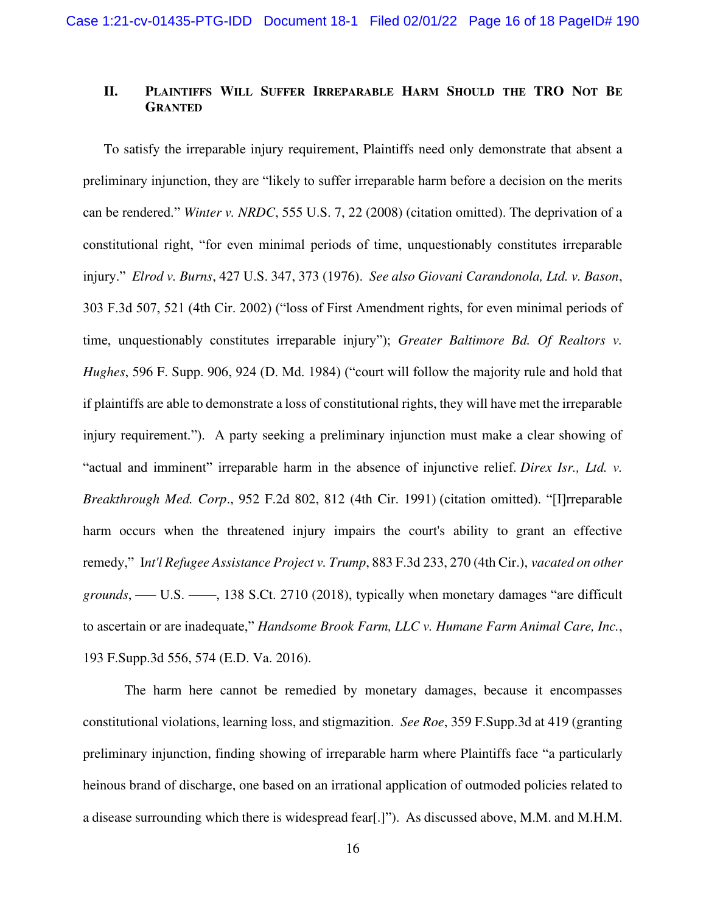# **II. PLAINTIFFS WILL SUFFER IRREPARABLE HARM SHOULD THE TRO NOT BE GRANTED**

To satisfy the irreparable injury requirement, Plaintiffs need only demonstrate that absent a preliminary injunction, they are "likely to suffer irreparable harm before a decision on the merits can be rendered." *Winter v. NRDC*, 555 U.S. 7, 22 (2008) (citation omitted). The deprivation of a constitutional right, "for even minimal periods of time, unquestionably constitutes irreparable injury." *Elrod v. Burns*, 427 U.S. 347, 373 (1976). *See also Giovani Carandonola, Ltd. v. Bason*, 303 F.3d 507, 521 (4th Cir. 2002) ("loss of First Amendment rights, for even minimal periods of time, unquestionably constitutes irreparable injury"); *Greater Baltimore Bd. Of Realtors v. Hughes*, 596 F. Supp. 906, 924 (D. Md. 1984) ("court will follow the majority rule and hold that if plaintiffs are able to demonstrate a loss of constitutional rights, they will have met the irreparable injury requirement."). A party seeking a preliminary injunction must make a clear showing of "actual and imminent" irreparable harm in the absence of injunctive relief. *[Direx Isr., Ltd. v.](https://1.next.westlaw.com/Link/Document/FullText?findType=Y&serNum=1991207090&pubNum=0000350&originatingDoc=Id0ad0220319811e99ea08308254f537e&refType=RP&fi=co_pp_sp_350_812&originationContext=document&transitionType=DocumentItem&ppcid=9baa0771078547588762f997dd5c700e&contextData=(sc.Search)#co_pp_sp_350_812) Breakthrough Med. Corp*[., 952 F.2d 802, 812 \(4th Cir. 1991\)](https://1.next.westlaw.com/Link/Document/FullText?findType=Y&serNum=1991207090&pubNum=0000350&originatingDoc=Id0ad0220319811e99ea08308254f537e&refType=RP&fi=co_pp_sp_350_812&originationContext=document&transitionType=DocumentItem&ppcid=9baa0771078547588762f997dd5c700e&contextData=(sc.Search)#co_pp_sp_350_812) (citation omitted). "[I]rreparable harm occurs when the threatened injury impairs the court's ability to grant an effective remedy," I*[nt'l Refugee Assistance Project v. Trump](https://1.next.westlaw.com/Link/Document/FullText?findType=Y&serNum=2043822152&pubNum=0000506&originatingDoc=Id0ad0220319811e99ea08308254f537e&refType=RP&fi=co_pp_sp_506_270&originationContext=document&transitionType=DocumentItem&ppcid=9baa0771078547588762f997dd5c700e&contextData=(sc.Search)#co_pp_sp_506_270)*, 883 F.3d 233, 270 (4th Cir.), *vacated on other grounds*, —— U.S. ——[, 138 S.Ct. 2710 \(2018\)](https://1.next.westlaw.com/Link/Document/FullText?findType=Y&serNum=2043895079&pubNum=0000708&originatingDoc=Id0ad0220319811e99ea08308254f537e&refType=RP&originationContext=document&transitionType=DocumentItem&ppcid=9baa0771078547588762f997dd5c700e&contextData=(sc.Search)), typically when monetary damages "are difficult to ascertain or are inadequate," *Handsome Brook Farm, LLC [v. Humane Farm Animal Care, Inc.](https://1.next.westlaw.com/Link/Document/FullText?findType=Y&serNum=2039182925&pubNum=0007903&originatingDoc=Id0ad0220319811e99ea08308254f537e&refType=RP&fi=co_pp_sp_7903_574&originationContext=document&transitionType=DocumentItem&ppcid=9baa0771078547588762f997dd5c700e&contextData=(sc.Search)#co_pp_sp_7903_574)*, [193 F.Supp.3d 556, 574 \(E.D. Va. 2016\).](https://1.next.westlaw.com/Link/Document/FullText?findType=Y&serNum=2039182925&pubNum=0007903&originatingDoc=Id0ad0220319811e99ea08308254f537e&refType=RP&fi=co_pp_sp_7903_574&originationContext=document&transitionType=DocumentItem&ppcid=9baa0771078547588762f997dd5c700e&contextData=(sc.Search)#co_pp_sp_7903_574)

The harm here cannot be remedied by monetary damages, because it encompasses constitutional violations, learning loss, and stigmazition. *See Roe*, 359 F.Supp.3d at 419 (granting preliminary injunction, finding showing of irreparable harm where Plaintiffs face "a particularly heinous brand of discharge, one based on an irrational application of outmoded policies related to a disease surrounding which there is widespread fear[.]"). As discussed above, M.M. and M.H.M.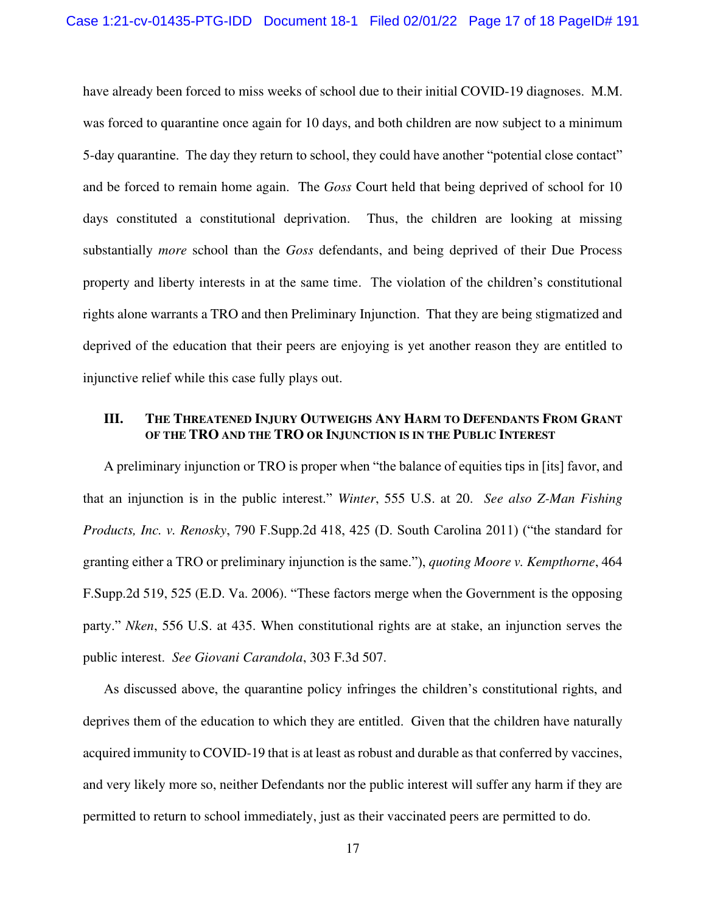have already been forced to miss weeks of school due to their initial COVID-19 diagnoses. M.M. was forced to quarantine once again for 10 days, and both children are now subject to a minimum 5-day quarantine. The day they return to school, they could have another "potential close contact" and be forced to remain home again. The *Goss* Court held that being deprived of school for 10 days constituted a constitutional deprivation. Thus, the children are looking at missing substantially *more* school than the *Goss* defendants, and being deprived of their Due Process property and liberty interests in at the same time. The violation of the children's constitutional rights alone warrants a TRO and then Preliminary Injunction. That they are being stigmatized and deprived of the education that their peers are enjoying is yet another reason they are entitled to injunctive relief while this case fully plays out.

## **III. THE THREATENED INJURY OUTWEIGHS ANY HARM TO DEFENDANTS FROM GRANT OF THE TRO AND THE TRO OR INJUNCTION IS IN THE PUBLIC INTEREST**

A preliminary injunction or TRO is proper when "the balance of equities tips in [its] favor, and that an injunction is in the public interest." *Winter*, 555 U.S. at 20. *See also Z-Man Fishing Products, Inc. v. Renosky*, 790 F.Supp.2d 418, 425 (D. South Carolina 2011) ("the standard for granting either a TRO or preliminary injunction is the same."), *quoting Moore v. Kempthorne*, 464 F.Supp.2d 519, 525 (E.D. Va. 2006). "These factors merge when the Government is the opposing party." *Nken*, 556 U.S. at 435. When constitutional rights are at stake, an injunction serves the public interest. *See Giovani Carandola*, 303 F.3d 507.

As discussed above, the quarantine policy infringes the children's constitutional rights, and deprives them of the education to which they are entitled. Given that the children have naturally acquired immunity to COVID-19 that is at least as robust and durable as that conferred by vaccines, and very likely more so, neither Defendants nor the public interest will suffer any harm if they are permitted to return to school immediately, just as their vaccinated peers are permitted to do.